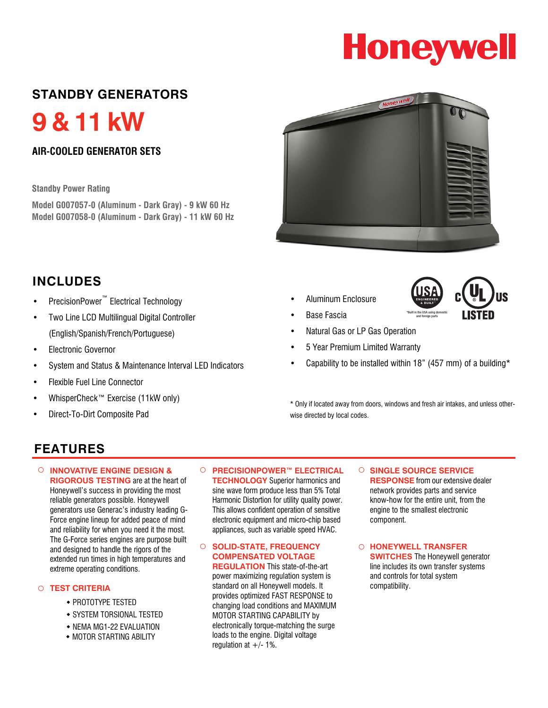# **Honeywell**

### **STANDBY GENERATORS**

**9 & 11 kW**

#### **AIR-COOLED GENERATOR SETS**

#### **Standby Power Rating**

**Model G007057-0 (Aluminum - Dark Gray) - 9 kW 60 Hz Model G007058-0 (Aluminum - Dark Gray) - 11 kW 60 Hz**



• Aluminum Enclosure



- **Base Fascia**
- Natural Gas or LP Gas Operation
- 5 Year Premium Limited Warranty
- Capability to be installed within 18" (457 mm) of a building\*

\* Only if located away from doors, windows and fresh air intakes, and unless otherwise directed by local codes.

## **INCLUDES**

- PrecisionPower™ Electrical Technology
- Two Line LCD Multilingual Digital Controller (English/Spanish/French/Portuguese)
- Electronic Governor
- System and Status & Maintenance Interval LED Indicators
- Flexible Fuel Line Connector
- WhisperCheck™ Exercise (11kW only)
- Direct-To-Dirt Composite Pad

### **FEATURES**

○ **INNOVATIVE ENGINE DESIGN & RIGOROUS TESTING** are at the heart of Honeywell's success in providing the most reliable generators possible. Honeywell generators use Generac's industry leading G-Force engine lineup for added peace of mind and reliability for when you need it the most. The G-Force series engines are purpose built and designed to handle the rigors of the extended run times in high temperatures and extreme operating conditions.

- PROTOTYPE TESTED
- SYSTEM TORSIONAL TESTED
- NEMA MG1-22 EVALUATION
- **MOTOR STARTING ABILITY**

○ **PRECISIONPOWER™ ELECTRICAL TECHNOLOGY** Superior harmonics and sine wave form produce less than 5% Total Harmonic Distortion for utility quality power. This allows confident operation of sensitive electronic equipment and micro-chip based appliances, such as variable speed HVAC.

#### ○ **SOLID-STATE, FREQUENCY COMPENSATED VOLTAGE REGULATION** This state-of-the-art

power maximizing regulation system is ○ **TEST CRITERIA compatibility.** Standard on all Honeywell models. It compatibility. provides optimized FAST RESPONSE to changing load conditions and MAXIMUM MOTOR STARTING CAPABILITY by electronically torque-matching the surge loads to the engine. Digital voltage regulation at  $+/- 1\%$ .

○ **SINGLE SOURCE SERVICE RESPONSE** from our extensive dealer network provides parts and service know-how for the entire unit, from the engine to the smallest electronic component.

○ **HONEYWELL TRANSFER SWITCHES** The Honeywell generator line includes its own transfer systems and controls for total system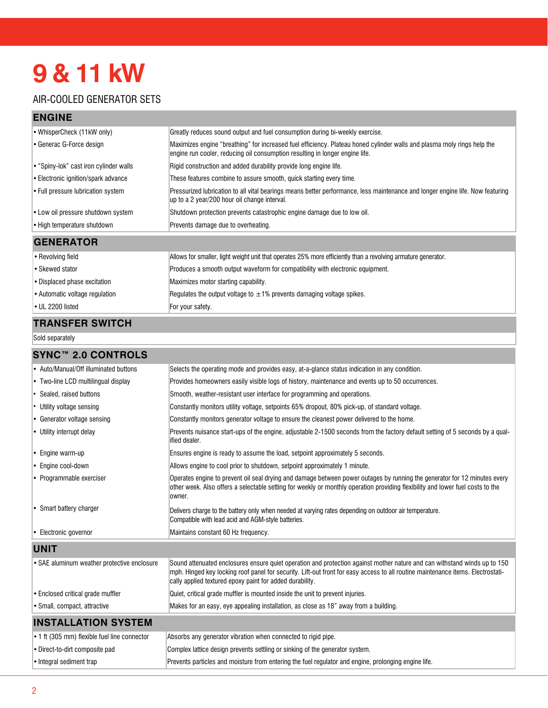# **9 & 11 kW**

#### AIR-COOLED GENERATOR SETS

#### **ENGINE**

| • WhisperCheck (11kW only)               | Greatly reduces sound output and fuel consumption during bi-weekly exercise.                                                                                                                            |  |  |
|------------------------------------------|---------------------------------------------------------------------------------------------------------------------------------------------------------------------------------------------------------|--|--|
| • Generac G-Force design                 | Maximizes engine "breathing" for increased fuel efficiency. Plateau honed cylinder walls and plasma moly rings help the<br>engine run cooler, reducing oil consumption resulting in longer engine life. |  |  |
| • "Spiny-lok" cast iron cylinder walls   | Rigid construction and added durability provide long engine life.                                                                                                                                       |  |  |
| Electronic ignition/spark advance        | These features combine to assure smooth, quick starting every time.                                                                                                                                     |  |  |
| $\cdot$ Full pressure lubrication system | Pressurized lubrication to all vital bearings means better performance, less maintenance and longer engine life. Now featuring<br>up to a 2 year/200 hour oil change interval.                          |  |  |
| • Low oil pressure shutdown system       | Shutdown protection prevents catastrophic engine damage due to low oil.                                                                                                                                 |  |  |
| • High temperature shutdown              | Prevents damage due to overheating.                                                                                                                                                                     |  |  |
| <b>GENERATOR</b>                         |                                                                                                                                                                                                         |  |  |
| • Revolving field                        | Allows for smaller, light weight unit that operates 25% more efficiently than a revolving armature generator.                                                                                           |  |  |
| • Skewed stator                          | Produces a smooth output waveform for compatibility with electronic equipment.                                                                                                                          |  |  |
| • Displaced phase excitation             | Maximizes motor starting capability.                                                                                                                                                                    |  |  |
| • Automatic voltage regulation           | Regulates the output voltage to $\pm 1\%$ prevents damaging voltage spikes.                                                                                                                             |  |  |

# $\bullet$  UL 2200 listed For your safety.

#### **TRANSFER SWITCH**

Sold separately

#### **SYNC™ 2.0 CONTROLS**

| • Auto/Manual/Off illuminated buttons        | Selects the operating mode and provides easy, at-a-glance status indication in any condition.                                                                                                                                                                                                                            |  |
|----------------------------------------------|--------------------------------------------------------------------------------------------------------------------------------------------------------------------------------------------------------------------------------------------------------------------------------------------------------------------------|--|
| • Two-line LCD multilingual display          | Provides homeowners easily visible logs of history, maintenance and events up to 50 occurrences.                                                                                                                                                                                                                         |  |
| • Sealed, raised buttons                     | Smooth, weather-resistant user interface for programming and operations.                                                                                                                                                                                                                                                 |  |
| • Utility voltage sensing                    | Constantly monitors utility voltage, setpoints 65% dropout, 80% pick-up, of standard voltage.                                                                                                                                                                                                                            |  |
| • Generator voltage sensing                  | Constantly monitors generator voltage to ensure the cleanest power delivered to the home.                                                                                                                                                                                                                                |  |
| • Utility interrupt delay                    | Prevents nuisance start-ups of the engine, adjustable 2-1500 seconds from the factory default setting of 5 seconds by a qual-<br>lified dealer.                                                                                                                                                                          |  |
| • Engine warm-up                             | Ensures engine is ready to assume the load, setpoint approximately 5 seconds.                                                                                                                                                                                                                                            |  |
| • Engine cool-down                           | Allows engine to cool prior to shutdown, setpoint approximately 1 minute.                                                                                                                                                                                                                                                |  |
| • Programmable exerciser                     | Operates engine to prevent oil seal drying and damage between power outages by running the generator for 12 minutes every<br>other week. Also offers a selectable setting for weekly or monthly operation providing flexibility and lower fuel costs to the<br>lowner.                                                   |  |
| • Smart battery charger                      | Delivers charge to the battery only when needed at varying rates depending on outdoor air temperature.<br>Compatible with lead acid and AGM-style batteries.                                                                                                                                                             |  |
| • Electronic governor                        | Maintains constant 60 Hz frequency.                                                                                                                                                                                                                                                                                      |  |
| <b>UNIT</b>                                  |                                                                                                                                                                                                                                                                                                                          |  |
| • SAE aluminum weather protective enclosure  | Sound attenuated enclosures ensure quiet operation and protection against mother nature and can withstand winds up to 150<br>mph. Hinged key locking roof panel for security. Lift-out front for easy access to all routine maintenance items. Electrostati-<br>cally applied textured epoxy paint for added durability. |  |
| • Enclosed critical grade muffler            | Quiet, critical grade muffler is mounted inside the unit to prevent injuries.                                                                                                                                                                                                                                            |  |
| • Small, compact, attractive                 | Makes for an easy, eye appealing installation, as close as 18" away from a building.                                                                                                                                                                                                                                     |  |
| <b>INSTALLATION SYSTEM</b>                   |                                                                                                                                                                                                                                                                                                                          |  |
| • 1 ft (305 mm) flexible fuel line connector | Absorbs any generator vibration when connected to rigid pipe.                                                                                                                                                                                                                                                            |  |
| • Direct-to-dirt composite pad               | Complex lattice design prevents settling or sinking of the generator system.                                                                                                                                                                                                                                             |  |
| • Integral sediment trap                     | Prevents particles and moisture from entering the fuel regulator and engine, prolonging engine life.                                                                                                                                                                                                                     |  |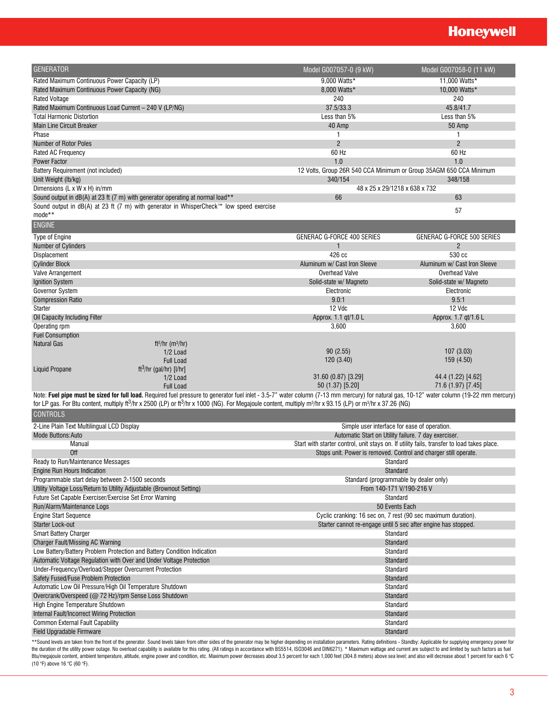# **Honeywell**

| <b>GENERATOR</b>                                                                                                                                                                                             | Model G007057-0 (9 kW)                                                                     | Model G007058-0 (11 kW)      |
|--------------------------------------------------------------------------------------------------------------------------------------------------------------------------------------------------------------|--------------------------------------------------------------------------------------------|------------------------------|
| Rated Maximum Continuous Power Capacity (LP)                                                                                                                                                                 | 9.000 Watts*                                                                               | 11,000 Watts*                |
| Rated Maximum Continuous Power Capacity (NG)                                                                                                                                                                 | 8,000 Watts*                                                                               | 10,000 Watts*                |
| <b>Rated Voltage</b>                                                                                                                                                                                         | 240                                                                                        | 240                          |
| Rated Maximum Continuous Load Current - 240 V (LP/NG)                                                                                                                                                        | 37.5/33.3                                                                                  | 45.8/41.7                    |
| <b>Total Harmonic Distortion</b>                                                                                                                                                                             | Less than 5%                                                                               | Less than 5%                 |
| <b>Main Line Circuit Breaker</b>                                                                                                                                                                             | 40 Amp                                                                                     | 50 Amp                       |
| Phase                                                                                                                                                                                                        | 1                                                                                          | $\mathbf{1}$                 |
| Number of Rotor Poles                                                                                                                                                                                        | $\overline{2}$                                                                             | $\overline{2}$               |
| Rated AC Frequency                                                                                                                                                                                           | 60 Hz                                                                                      | 60 Hz                        |
| <b>Power Factor</b>                                                                                                                                                                                          | 1.0                                                                                        | 1.0                          |
| Battery Requirement (not included)                                                                                                                                                                           | 12 Volts, Group 26R 540 CCA Minimum or Group 35AGM 650 CCA Minimum                         |                              |
| Unit Weight (lb/kg)                                                                                                                                                                                          | 340/154                                                                                    | 348/158                      |
| Dimensions (L x W x H) in/mm                                                                                                                                                                                 | 48 x 25 x 29/1218 x 638 x 732                                                              |                              |
| Sound output in dB(A) at 23 ft (7 m) with generator operating at normal load**                                                                                                                               | 66                                                                                         | 63                           |
| Sound output in dB(A) at 23 ft (7 m) with generator in WhisperCheck™ low speed exercise                                                                                                                      |                                                                                            |                              |
| mode**                                                                                                                                                                                                       |                                                                                            | 57                           |
| <b>ENGINE</b>                                                                                                                                                                                                |                                                                                            |                              |
|                                                                                                                                                                                                              |                                                                                            |                              |
| Type of Engine                                                                                                                                                                                               | GENERAC G-FORCE 400 SERIES                                                                 | GENERAC G-FORCE 500 SERIES   |
| <b>Number of Cylinders</b>                                                                                                                                                                                   | 1                                                                                          | $\overline{c}$               |
| Displacement                                                                                                                                                                                                 | 426 cc                                                                                     | 530 cc                       |
| <b>Cylinder Block</b>                                                                                                                                                                                        | Aluminum w/ Cast Iron Sleeve                                                               | Aluminum w/ Cast Iron Sleeve |
| Valve Arrangement                                                                                                                                                                                            | <b>Overhead Valve</b>                                                                      | <b>Overhead Valve</b>        |
| <b>Ignition System</b>                                                                                                                                                                                       | Solid-state w/ Magneto                                                                     | Solid-state w/ Magneto       |
| Governor System                                                                                                                                                                                              | Electronic                                                                                 | Electronic                   |
| <b>Compression Ratio</b>                                                                                                                                                                                     | 9.0:1                                                                                      | 9.5:1                        |
| Starter                                                                                                                                                                                                      | 12 Vdc                                                                                     | 12 Vdc                       |
| Oil Capacity Including Filter                                                                                                                                                                                | Approx. 1.1 qt/1.0 L                                                                       | Approx. 1.7 qt/1.6 L         |
| Operating rpm                                                                                                                                                                                                | 3,600                                                                                      | 3,600                        |
| <b>Fuel Consumption</b>                                                                                                                                                                                      |                                                                                            |                              |
| <b>Natural Gas</b><br>ft <sup>3</sup> /hr (m <sup>3</sup> /hr)                                                                                                                                               | 90(2.55)                                                                                   | 107 (3.03)                   |
| 1/2 Load<br><b>Full Load</b>                                                                                                                                                                                 | 120 (3.40)                                                                                 | 159 (4.50)                   |
| ft <sup>3</sup> /hr (gal/hr) [l/hr]<br><b>Liquid Propane</b>                                                                                                                                                 |                                                                                            |                              |
| 1/2 Load                                                                                                                                                                                                     | 31.60 (0.87) [3.29]                                                                        | 44.4 (1.22) [4.62]           |
| <b>Full Load</b>                                                                                                                                                                                             | 50 (1.37) [5.20]                                                                           | 71.6 (1.97) [7.45]           |
| Note: Fuel pipe must be sized for full load. Required fuel pressure to generator fuel inlet - 3.5-7" water column (7-13 mm mercury) for natural gas, 10-12" water column (19-22 mm mercury)                  |                                                                                            |                              |
| for LP gas. For Btu content, multiply ft <sup>3</sup> /hr x 2500 (LP) or ft <sup>3</sup> /hr x 1000 (NG). For Megajoule content, multiply m <sup>3</sup> /hr x 93.15 (LP) or m <sup>3</sup> /hr x 37.26 (NG) |                                                                                            |                              |
| <b>CONTROLS</b>                                                                                                                                                                                              |                                                                                            |                              |
|                                                                                                                                                                                                              |                                                                                            |                              |
| 2-Line Plain Text Multilingual LCD Display                                                                                                                                                                   | Simple user interface for ease of operation.                                               |                              |
| <b>Mode Buttons: Auto</b>                                                                                                                                                                                    | Automatic Start on Utility failure. 7 day exerciser.                                       |                              |
| Manual                                                                                                                                                                                                       | Start with starter control, unit stays on. If utility fails, transfer to load takes place. |                              |
| <b>Off</b>                                                                                                                                                                                                   | Stops unit. Power is removed. Control and charger still operate.                           |                              |
| Ready to Run/Maintenance Messages                                                                                                                                                                            | Standard                                                                                   |                              |
| Engine Run Hours Indication                                                                                                                                                                                  | Standard                                                                                   |                              |
| Programmable start delay between 2-1500 seconds                                                                                                                                                              | Standard (programmable by dealer only)                                                     |                              |
| Utility Voltage Loss/Return to Utility Adjustable (Brownout Setting)                                                                                                                                         | From 140-171 V/190-216 V                                                                   |                              |
| Future Set Capable Exerciser/Exercise Set Error Warning                                                                                                                                                      | Standard                                                                                   |                              |
| Run/Alarm/Maintenance Logs                                                                                                                                                                                   | 50 Events Each                                                                             |                              |
| <b>Engine Start Sequence</b>                                                                                                                                                                                 | Cyclic cranking: 16 sec on, 7 rest (90 sec maximum duration).                              |                              |
| <b>Starter Lock-out</b><br><b>Smart Battery Charger</b>                                                                                                                                                      | Starter cannot re-engage until 5 sec after engine has stopped.<br>Standard                 |                              |
| Charger Fault/Missing AC Warning                                                                                                                                                                             | Standard                                                                                   |                              |
| Low Battery/Battery Problem Protection and Battery Condition Indication                                                                                                                                      | Standard                                                                                   |                              |
| Automatic Voltage Regulation with Over and Under Voltage Protection                                                                                                                                          | Standard                                                                                   |                              |
| Under-Frequency/Overload/Stepper Overcurrent Protection                                                                                                                                                      | Standard                                                                                   |                              |
| Safety Fused/Fuse Problem Protection                                                                                                                                                                         | Standard                                                                                   |                              |
| Automatic Low Oil Pressure/High Oil Temperature Shutdown                                                                                                                                                     | Standard                                                                                   |                              |
| Overcrank/Overspeed (@ 72 Hz)/rpm Sense Loss Shutdown                                                                                                                                                        | Standard                                                                                   |                              |
| High Engine Temperature Shutdown                                                                                                                                                                             | Standard                                                                                   |                              |
| Internal Fault/Incorrect Wiring Protection                                                                                                                                                                   | Standard                                                                                   |                              |
| <b>Common External Fault Capability</b>                                                                                                                                                                      | Standard                                                                                   |                              |
| Field Upgradable Firmware                                                                                                                                                                                    | Standard                                                                                   |                              |
|                                                                                                                                                                                                              |                                                                                            |                              |

\*\*Sound levels are taken from the front of the generator. Sound levels taken from other sides of the generator may be higher depending on installation parameters. Rating definitions - Standby: Applicable for supplying emer Btu/megajoule content, ambient temperature, altitude, engine power and condition, etc. Maximum power decreases about 3.5 percent for each 1,000 feet (304.8 meters) above sea level; and also will decrease about 1 percent fo (10 °F) above 16 °C (60 °F).